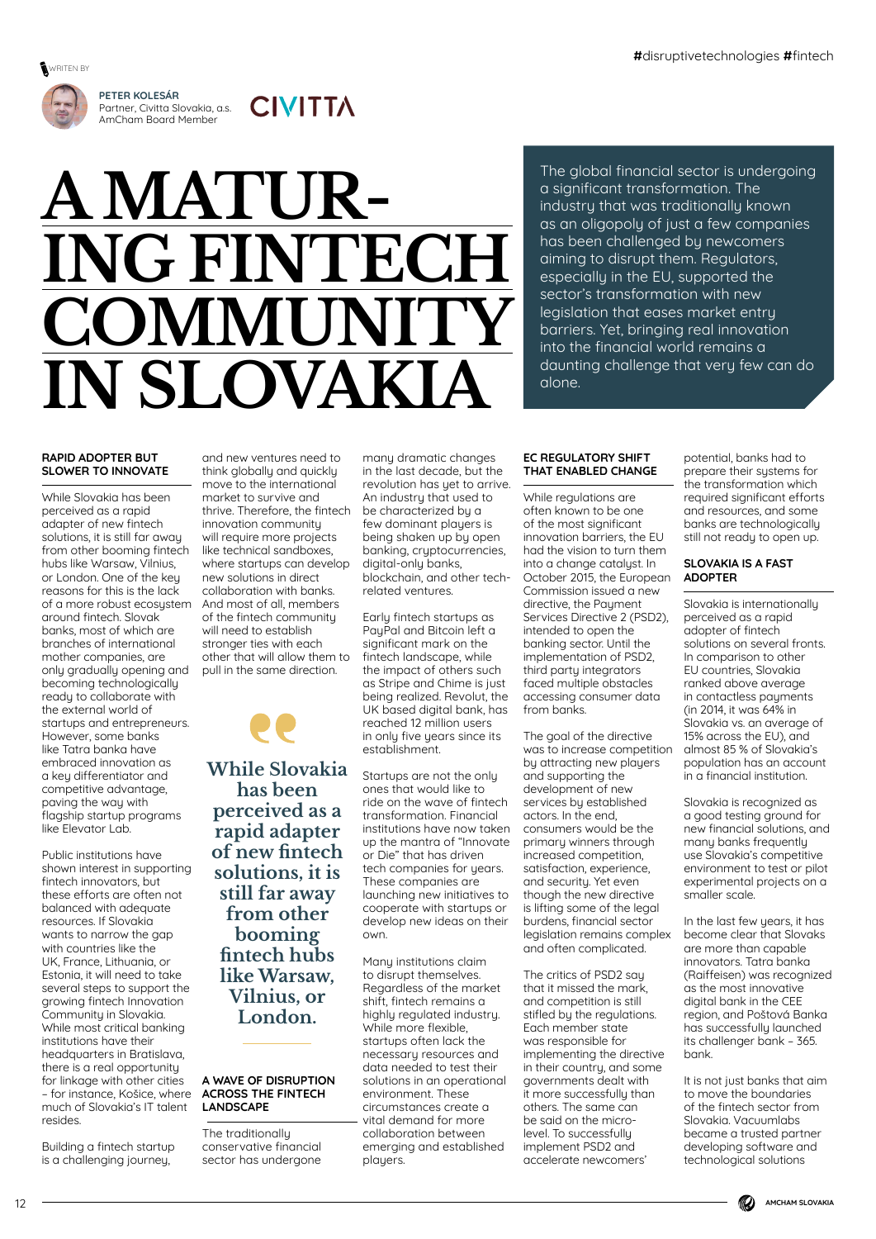



**PETER KOLESÁR** Partner, Civitta Slovakia, a.s. AmCham Board Member

# **CIVITTA**

**A MATUR-ING FINTECH COMMUNITY IN SLOVAKIA**

The global financial sector is undergoing a significant transformation. The industry that was traditionally known as an oligopoly of just a few companies has been challenged by newcomers aiming to disrupt them. Regulators, especially in the EU, supported the sector's transformation with new legislation that eases market entry barriers. Yet, bringing real innovation into the financial world remains a daunting challenge that very few can do alone.

# **RAPID ADOPTER BUT SLOWER TO INNOVATE**

While Slovakia has been perceived as a rapid adapter of new fintech solutions, it is still far away from other booming fintech hubs like Warsaw, Vilnius, or London. One of the key reasons for this is the lack of a more robust ecosystem around fintech. Slovak banks, most of which are branches of international mother companies, are only gradually opening and becoming technologically ready to collaborate with the external world of startups and entrepreneurs. However, some banks like Tatra banka have embraced innovation as a key differentiator and competitive advantage, paving the way with flagship startup programs like Elevator Lab.

Public institutions have shown interest in supporting fintech innovators, but these efforts are often not balanced with adequate resources. If Slovakia wants to narrow the gap with countries like the UK, France, Lithuania, or Estonia, it will need to take several steps to support the growing fintech Innovation Community in Slovakia. While most critical banking institutions have their headquarters in Bratislava, there is a real opportunity for linkage with other cities – for instance, Košice, where much of Slovakia's IT talent resides.

Building a fintech startup is a challenging journey,

and new ventures need to think globally and quickly move to the international market to survive and thrive. Therefore, the fintech innovation community will require more projects like technical sandboxes, where startups can develop new solutions in direct collaboration with banks. And most of all, members of the fintech community will need to establish stronger ties with each other that will allow them to pull in the same direction.



**still far away from other booming fintech hubs like Warsaw, Vilnius, or London.**

#### **A WAVE OF DISRUPTION ACROSS THE FINTECH LANDSCAPE**

The traditionally conservative financial sector has undergone many dramatic changes in the last decade, but the revolution has yet to arrive. An industry that used to be characterized by a few dominant players is being shaken up by open banking, cryptocurrencies, digital-only banks, blockchain, and other techrelated ventures.

Early fintech startups as PayPal and Bitcoin left a significant mark on the fintech landscape, while the impact of others such as Stripe and Chime is just being realized. Revolut, the UK based digital bank, has reached 12 million users in only five years since its establishment.

Startups are not the only ones that would like to ride on the wave of fintech transformation. Financial institutions have now taken up the mantra of "Innovate or Die" that has driven tech companies for years. These companies are launching new initiatives to cooperate with startups or develop new ideas on their own.

Many institutions claim to disrupt themselves. Regardless of the market shift, fintech remains a highly regulated industry. While more flexible, startups often lack the necessary resources and data needed to test their solutions in an operational environment. These circumstances create a vital demand for more collaboration between emerging and established players.

# **EC REGULATORY SHIFT THAT ENABLED CHANGE**

While regulations are often known to be one of the most significant innovation barriers, the EU had the vision to turn them into a change catalyst. In October 2015, the European Commission issued a new directive, the Payment Services Directive 2 (PSD2), intended to open the banking sector. Until the implementation of PSD2, third party integrators faced multiple obstacles accessing consumer data from banks.

The goal of the directive was to increase competition by attracting new players and supporting the development of new services by established actors. In the end, consumers would be the primary winners through increased competition, satisfaction, experience, and security. Yet even though the new directive is lifting some of the legal burdens, financial sector legislation remains complex and often complicated.

The critics of PSD2 say that it missed the mark, and competition is still stifled by the regulations. Each member state was responsible for implementing the directive in their country, and some governments dealt with it more successfullu than others. The same can be said on the microlevel. To successfully implement PSD2 and accelerate newcomers'

potential, banks had to prepare their systems for the transformation which required significant efforts and resources, and some banks are technologically still not ready to open up.

### **SLOVAKIA IS A FAST ADOPTER**

Slovakia is internationally perceived as a rapid adopter of fintech solutions on several fronts. In comparison to other EU countries, Slovakia ranked above average in contactless payments (in 2014, it was 64% in Slovakia vs. an average of 15% across the EU), and almost 85 % of Slovakia's population has an account in a financial institution.

Slovakia is recognized as a good testing ground for new financial solutions, and many banks frequently use Slovakia's competitive environment to test or pilot experimental projects on a smaller scale.

In the last few years, it has become clear that Slovaks are more than capable innovators. Tatra banka (Raiffeisen) was recognized as the most innovative digital bank in the CEE region, and Poštová Banka has successfully launched its challenger bank – 365. bank.

It is not just banks that aim to move the boundaries of the fintech sector from Slovakia. Vacuumlabs became a trusted partner developing software and technological solutions